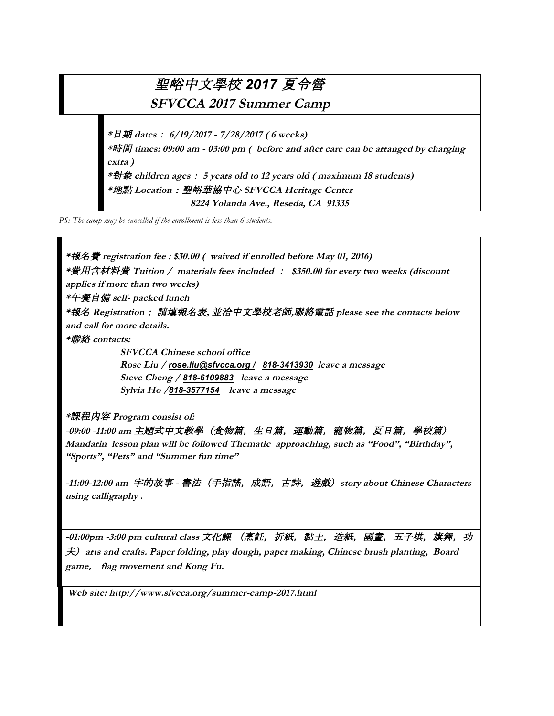## 聖峪中文學校 *2017* 夏令營

**SFVCCA 2017 Summer Camp**

**\***日期 **dates**: **6/19/2017 - 7/28/2017 ( 6 weeks)**

**\***時間 **times: 09:00 am - 03:00 pm ( before and after care can be arranged by charging extra )**

**\***對象 **children ages**: **5 years old to 12 years old ( maximum 18 students) \***地點 **Location**:聖峪華協中心 **SFVCCA Heritage Center 8224 Yolanda Ave., Reseda, CA 91335**

*PS: The camp may be cancelled if the enrollment is less than 6 students.*

**\***報名費 **registration fee : \$30.00 ( waived if enrolled before May 01, 2016) \***費用含材料費 **Tuition / materials fees included** : **\$350.00 for every two weeks (discount applies if more than two weeks) \***午餐自備 **self- packed lunch \***報名 **Registration**: 請填報名表**,** 並洽中文學校老師**,**聯絡電話 **please see the contacts below and call for more details. \***聯絡 **contacts: SFVCCA Chinese school office Rose Liu /** *rose.liu@sfvcca.org / 818-3413930* **leave a message**

**Steve Cheng /** *818-6109883* **leave a message Sylvia Ho /***818-3577154* **leave a message**

**\***課程內容 **Program consist of:**

-09:00 -11:00 am 主題式中文教學(食物篇, 生日篇, 運動篇, 寵物篇, 夏日篇, 學校篇) **Mandarin lesson plan will be followed Thematic approaching, such as "Food", "Birthday", "Sports", "Pets" and "Summer fun time"**

**-11:00-12:00 am** 字的故事 **-** 書法(手指謠,成語,古詩,遊戲)**story about Chinese Characters using calligraphy .** 

**-01:00pm -3:00 pm cultural class** 文化課 (烹飪,折紙,黏土,造紙,國畫,五子棋,旗舞,功 夫)**arts and crafts. Paper folding, play dough, paper making, Chinese brush planting, Board game**, **flag movement and Kong Fu.** 

**Web site: http://www.sfvcca.org/summer-camp-2017.html**